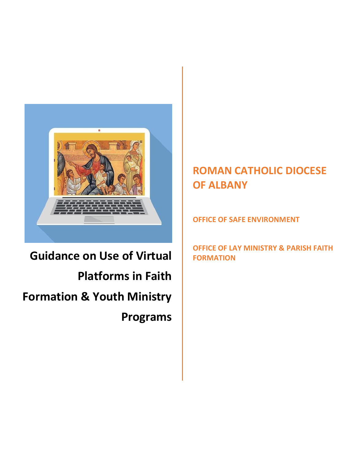

# **Guidance on Use of Virtual Platforms in Faith Formation & Youth Ministry Programs**

## **ROMAN CATHOLIC DIOCESE OF ALBANY**

**OFFICE OF SAFE ENVIRONMENT**

**OFFICE OF LAY MINISTRY & PARISH FAITH FORMATION**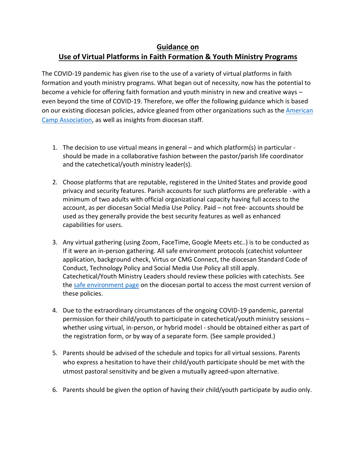#### **Guidance on Use of Virtual Platforms in Faith Formation & Youth Ministry Programs**

The COVID-19 pandemic has given rise to the use of a variety of virtual platforms in faith formation and youth ministry programs. What began out of necessity, now has the potential to become a vehicle for offering faith formation and youth ministry in new and creative ways – even beyond the time of COVID-19. Therefore, we offer the following guidance which is based on our existing diocesan policies, advice gleaned from other organizations such as the [American](https://www.acacamps.org/news-publications/blogs/camp-connection/best-practices-keeping-your-online-virtual-programming-safe-campers?utm_source=Informz&utm_medium=email&utm_campaign=ACANow&utm_term=apr-7&_zs=25eFa&_zl=k6R32)  [Camp Association,](https://www.acacamps.org/news-publications/blogs/camp-connection/best-practices-keeping-your-online-virtual-programming-safe-campers?utm_source=Informz&utm_medium=email&utm_campaign=ACANow&utm_term=apr-7&_zs=25eFa&_zl=k6R32) as well as insights from diocesan staff.

- 1. The decision to use virtual means in general and which platform(s) in particular should be made in a collaborative fashion between the pastor/parish life coordinator and the catechetical/youth ministry leader(s).
- 2. Choose platforms that are reputable, registered in the United States and provide good privacy and security features. Parish accounts for such platforms are preferable - with a minimum of two adults with official organizational capacity having full access to the account, as per diocesan Social Media Use Policy. Paid – not free- accounts should be used as they generally provide the best security features as well as enhanced capabilities for users.
- 3. Any virtual gathering (using Zoom, FaceTime, Google Meets etc..) is to be conducted as If it were an in-person gathering. All safe environment protocols (catechist volunteer application, background check, Virtus or CMG Connect, the diocesan Standard Code of Conduct, Technology Policy and Social Media Use Policy all still apply. Catechetical/Youth Ministry Leaders should review these policies with catechists. See the [safe environment page](https://rcda145.sharepoint.com/Human_Resources/Pages/Safe%20Environment.aspx) on the diocesan portal to access the most current version of these policies.
- 4. Due to the extraordinary circumstances of the ongoing COVID-19 pandemic, parental permission for their child/youth to participate in catechetical/youth ministry sessions – whether using virtual, in-person, or hybrid model - should be obtained either as part of the registration form, or by way of a separate form. (See sample provided.)
- 5. Parents should be advised of the schedule and topics for all virtual sessions. Parents who express a hesitation to have their child/youth participate should be met with the utmost pastoral sensitivity and be given a mutually agreed-upon alternative.
- 6. Parents should be given the option of having their child/youth participate by audio only.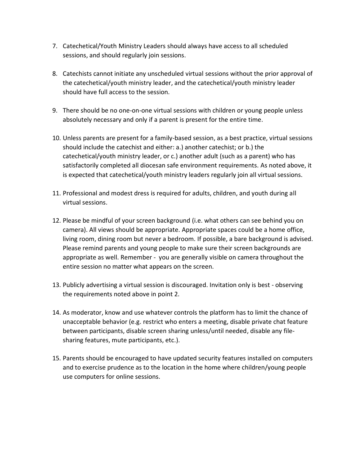- 7. Catechetical/Youth Ministry Leaders should always have access to all scheduled sessions, and should regularly join sessions.
- 8. Catechists cannot initiate any unscheduled virtual sessions without the prior approval of the catechetical/youth ministry leader, and the catechetical/youth ministry leader should have full access to the session.
- 9. There should be no one-on-one virtual sessions with children or young people unless absolutely necessary and only if a parent is present for the entire time.
- 10. Unless parents are present for a family-based session, as a best practice, virtual sessions should include the catechist and either: a.) another catechist; or b.) the catechetical/youth ministry leader, or c.) another adult (such as a parent) who has satisfactorily completed all diocesan safe environment requirements. As noted above, it is expected that catechetical/youth ministry leaders regularly join all virtual sessions.
- 11. Professional and modest dress is required for adults, children, and youth during all virtual sessions.
- 12. Please be mindful of your screen background (i.e. what others can see behind you on camera). All views should be appropriate. Appropriate spaces could be a home office, living room, dining room but never a bedroom. If possible, a bare background is advised. Please remind parents and young people to make sure their screen backgrounds are appropriate as well. Remember - you are generally visible on camera throughout the entire session no matter what appears on the screen.
- 13. Publicly advertising a virtual session is discouraged. Invitation only is best observing the requirements noted above in point 2.
- 14. As moderator, know and use whatever controls the platform has to limit the chance of unacceptable behavior (e.g. restrict who enters a meeting, disable private chat feature between participants, disable screen sharing unless/until needed, disable any filesharing features, mute participants, etc.).
- 15. Parents should be encouraged to have updated security features installed on computers and to exercise prudence as to the location in the home where children/young people use computers for online sessions.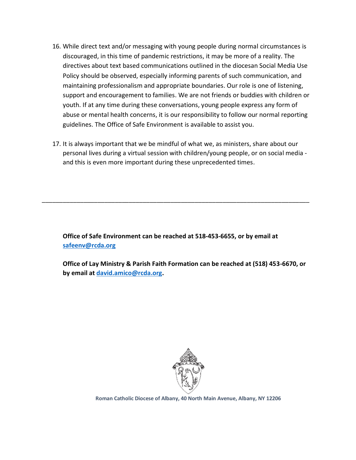- 16. While direct text and/or messaging with young people during normal circumstances is discouraged, in this time of pandemic restrictions, it may be more of a reality. The directives about text based communications outlined in the diocesan Social Media Use Policy should be observed, especially informing parents of such communication, and maintaining professionalism and appropriate boundaries. Our role is one of listening, support and encouragement to families. We are not friends or buddies with children or youth. If at any time during these conversations, young people express any form of abuse or mental health concerns, it is our responsibility to follow our normal reporting guidelines. The Office of Safe Environment is available to assist you.
- 17. It is always important that we be mindful of what we, as ministers, share about our personal lives during a virtual session with children/young people, or on social media and this is even more important during these unprecedented times.

**Office of Safe Environment can be reached at 518-453-6655, or by email at [safeenv@rcda.org](mailto:safeenv@rcda.org)**

\_\_\_\_\_\_\_\_\_\_\_\_\_\_\_\_\_\_\_\_\_\_\_\_\_\_\_\_\_\_\_\_\_\_\_\_\_\_\_\_\_\_\_\_\_\_\_\_\_\_\_\_\_\_\_\_\_\_\_\_\_\_\_\_\_\_\_\_\_\_\_\_\_\_\_\_\_

**Office of Lay Ministry & Parish Faith Formation can be reached at (518) 453-6670, or by email at [david.amico@rcda.org.](mailto:david.amico@rcda.org)** 



**Roman Catholic Diocese of Albany, 40 North Main Avenue, Albany, NY 12206**